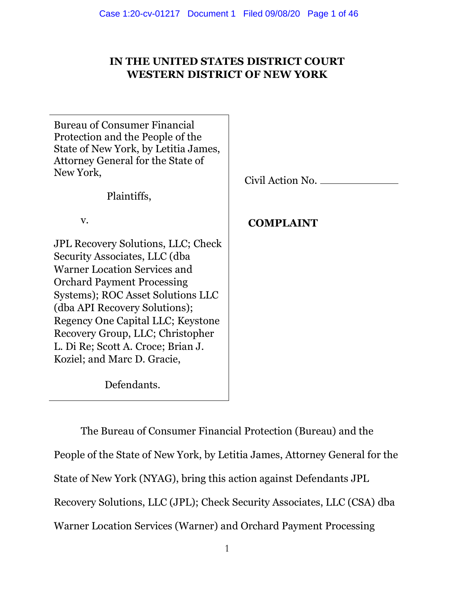# **IN THE UNITED STATES DISTRICT COURT WESTERN DISTRICT OF NEW YORK**

٦

| <b>Bureau of Consumer Financial</b><br>Protection and the People of the<br>State of New York, by Letitia James,<br>Attorney General for the State of<br>New York, | Civil Action No. |
|-------------------------------------------------------------------------------------------------------------------------------------------------------------------|------------------|
| Plaintiffs,                                                                                                                                                       |                  |
| V.                                                                                                                                                                | <b>COMPLAINT</b> |
| <b>JPL Recovery Solutions, LLC; Check</b>                                                                                                                         |                  |
| Security Associates, LLC (dba                                                                                                                                     |                  |
| <b>Warner Location Services and</b>                                                                                                                               |                  |
| <b>Orchard Payment Processing</b>                                                                                                                                 |                  |
| Systems); ROC Asset Solutions LLC                                                                                                                                 |                  |
| (dba API Recovery Solutions);                                                                                                                                     |                  |
| Regency One Capital LLC; Keystone                                                                                                                                 |                  |
| Recovery Group, LLC; Christopher                                                                                                                                  |                  |
| L. Di Re; Scott A. Croce; Brian J.                                                                                                                                |                  |
| Koziel; and Marc D. Gracie,                                                                                                                                       |                  |
| Defendants.                                                                                                                                                       |                  |

The Bureau of Consumer Financial Protection (Bureau) and the People of the State of New York, by Letitia James, Attorney General for the State of New York (NYAG), bring this action against Defendants JPL Recovery Solutions, LLC (JPL); Check Security Associates, LLC (CSA) dba Warner Location Services (Warner) and Orchard Payment Processing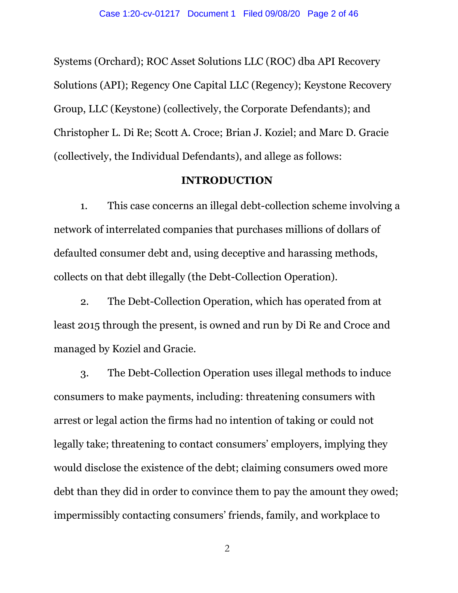Systems (Orchard); ROC Asset Solutions LLC (ROC) dba API Recovery Solutions (API); Regency One Capital LLC (Regency); Keystone Recovery Group, LLC (Keystone) (collectively, the Corporate Defendants); and Christopher L. Di Re; Scott A. Croce; Brian J. Koziel; and Marc D. Gracie (collectively, the Individual Defendants), and allege as follows:

### **INTRODUCTION**

1. This case concerns an illegal debt-collection scheme involving a network of interrelated companies that purchases millions of dollars of defaulted consumer debt and, using deceptive and harassing methods, collects on that debt illegally (the Debt-Collection Operation).

2. The Debt-Collection Operation, which has operated from at least 2015 through the present, is owned and run by Di Re and Croce and managed by Koziel and Gracie.

3. The Debt-Collection Operation uses illegal methods to induce consumers to make payments, including: threatening consumers with arrest or legal action the firms had no intention of taking or could not legally take; threatening to contact consumers' employers, implying they would disclose the existence of the debt; claiming consumers owed more debt than they did in order to convince them to pay the amount they owed; impermissibly contacting consumers' friends, family, and workplace to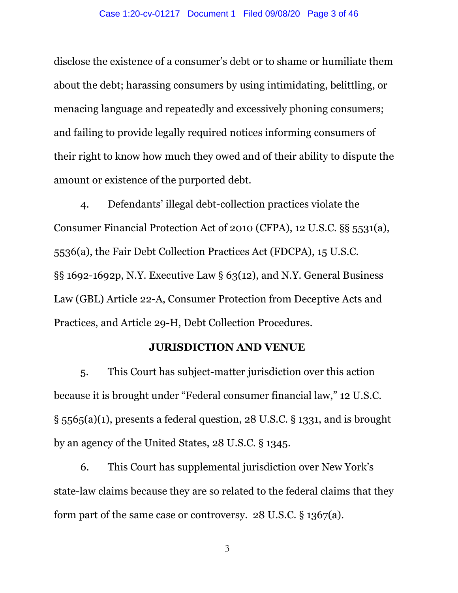disclose the existence of a consumer's debt or to shame or humiliate them about the debt; harassing consumers by using intimidating, belittling, or menacing language and repeatedly and excessively phoning consumers; and failing to provide legally required notices informing consumers of their right to know how much they owed and of their ability to dispute the amount or existence of the purported debt.

4. Defendants' illegal debt-collection practices violate the Consumer Financial Protection Act of 2010 (CFPA), 12 U.S.C. §§ 5531(a), 5536(a), the Fair Debt Collection Practices Act (FDCPA), 15 U.S.C. §§ 1692-1692p, N.Y. Executive Law § 63(12), and N.Y. General Business Law (GBL) Article 22-A, Consumer Protection from Deceptive Acts and Practices, and Article 29-H, Debt Collection Procedures.

# **JURISDICTION AND VENUE**

5. This Court has subject-matter jurisdiction over this action because it is brought under "Federal consumer financial law," 12 U.S.C. § 5565(a)(1), presents a federal question, 28 U.S.C. § 1331, and is brought by an agency of the United States, 28 U.S.C. § 1345.

6. This Court has supplemental jurisdiction over New York's state-law claims because they are so related to the federal claims that they form part of the same case or controversy. 28 U.S.C. § 1367(a).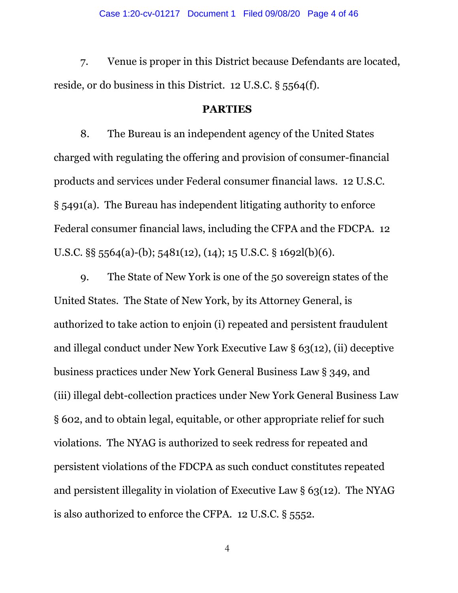7. Venue is proper in this District because Defendants are located, reside, or do business in this District. 12 U.S.C. § 5564(f).

#### **PARTIES**

8. The Bureau is an independent agency of the United States charged with regulating the offering and provision of consumer-financial products and services under Federal consumer financial laws. 12 U.S.C. § 5491(a). The Bureau has independent litigating authority to enforce Federal consumer financial laws, including the CFPA and the FDCPA. 12 U.S.C. §§ 5564(a)-(b); 5481(12), (14); 15 U.S.C. § 1692l(b)(6).

9. The State of New York is one of the 50 sovereign states of the United States. The State of New York, by its Attorney General, is authorized to take action to enjoin (i) repeated and persistent fraudulent and illegal conduct under New York Executive Law § 63(12), (ii) deceptive business practices under New York General Business Law § 349, and (iii) illegal debt-collection practices under New York General Business Law § 602, and to obtain legal, equitable, or other appropriate relief for such violations. The NYAG is authorized to seek redress for repeated and persistent violations of the FDCPA as such conduct constitutes repeated and persistent illegality in violation of Executive Law  $\S 63(12)$ . The NYAG is also authorized to enforce the CFPA. 12 U.S.C. § 5552.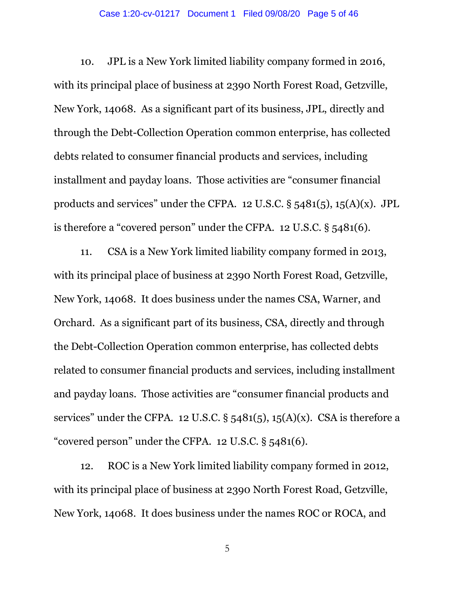10. JPL is a New York limited liability company formed in 2016, with its principal place of business at 2390 North Forest Road, Getzville, New York, 14068. As a significant part of its business, JPL, directly and through the Debt-Collection Operation common enterprise, has collected debts related to consumer financial products and services, including installment and payday loans. Those activities are "consumer financial products and services" under the CFPA. 12 U.S.C.  $\S$  5481(5), 15(A)(x). JPL is therefore a "covered person" under the CFPA. 12 U.S.C. § 5481(6).

11. CSA is a New York limited liability company formed in 2013, with its principal place of business at 2390 North Forest Road, Getzville, New York, 14068. It does business under the names CSA, Warner, and Orchard. As a significant part of its business, CSA, directly and through the Debt-Collection Operation common enterprise, has collected debts related to consumer financial products and services, including installment and payday loans. Those activities are "consumer financial products and services" under the CFPA. 12 U.S.C.  $\S$  5481(5), 15(A)(x). CSA is therefore a "covered person" under the CFPA. 12 U.S.C. § 5481(6).

12. ROC is a New York limited liability company formed in 2012, with its principal place of business at 2390 North Forest Road, Getzville, New York, 14068. It does business under the names ROC or ROCA, and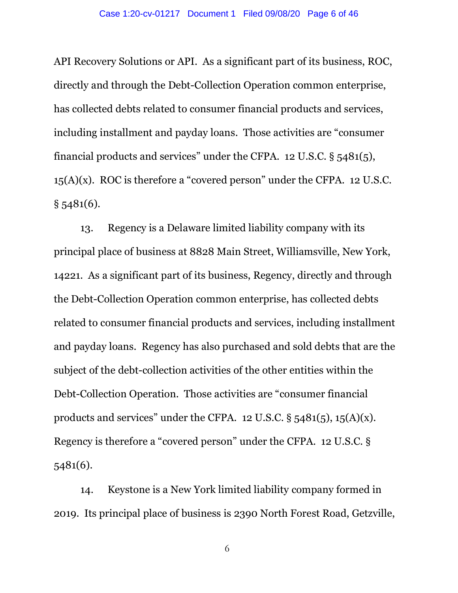API Recovery Solutions or API. As a significant part of its business, ROC, directly and through the Debt-Collection Operation common enterprise, has collected debts related to consumer financial products and services, including installment and payday loans. Those activities are "consumer financial products and services" under the CFPA. 12 U.S.C. § 5481(5), 15(A)(x). ROC is therefore a "covered person" under the CFPA. 12 U.S.C.  $§$  5481(6).

13. Regency is a Delaware limited liability company with its principal place of business at 8828 Main Street, Williamsville, New York, 14221. As a significant part of its business, Regency, directly and through the Debt-Collection Operation common enterprise, has collected debts related to consumer financial products and services, including installment and payday loans. Regency has also purchased and sold debts that are the subject of the debt-collection activities of the other entities within the Debt-Collection Operation. Those activities are "consumer financial products and services" under the CFPA. 12 U.S.C.  $\S$  5481(5), 15(A)(x). Regency is therefore a "covered person" under the CFPA. 12 U.S.C. § 5481(6).

14. Keystone is a New York limited liability company formed in 2019. Its principal place of business is 2390 North Forest Road, Getzville,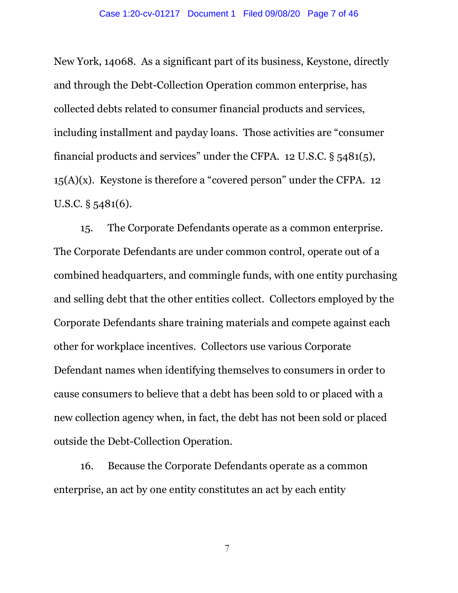New York, 14068. As a significant part of its business, Keystone, directly and through the Debt-Collection Operation common enterprise, has collected debts related to consumer financial products and services, including installment and payday loans. Those activities are "consumer financial products and services" under the CFPA. 12 U.S.C. § 5481(5),  $15(A)(x)$ . Keystone is therefore a "covered person" under the CFPA. 12 U.S.C. § 5481(6).

15. The Corporate Defendants operate as a common enterprise. The Corporate Defendants are under common control, operate out of a combined headquarters, and commingle funds, with one entity purchasing and selling debt that the other entities collect. Collectors employed by the Corporate Defendants share training materials and compete against each other for workplace incentives. Collectors use various Corporate Defendant names when identifying themselves to consumers in order to cause consumers to believe that a debt has been sold to or placed with a new collection agency when, in fact, the debt has not been sold or placed outside the Debt-Collection Operation.

16. Because the Corporate Defendants operate as a common enterprise, an act by one entity constitutes an act by each entity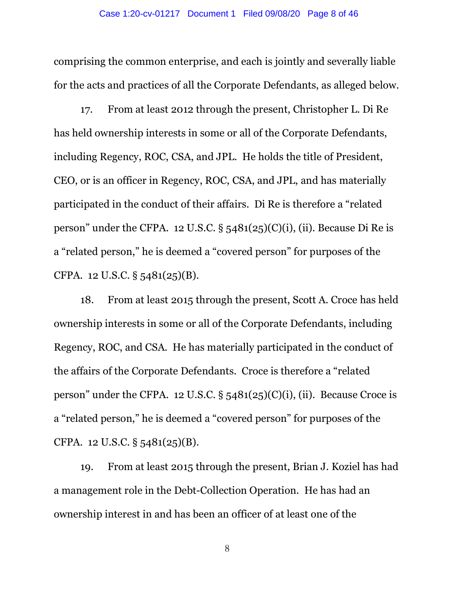comprising the common enterprise, and each is jointly and severally liable for the acts and practices of all the Corporate Defendants, as alleged below.

17. From at least 2012 through the present, Christopher L. Di Re has held ownership interests in some or all of the Corporate Defendants, including Regency, ROC, CSA, and JPL. He holds the title of President, CEO, or is an officer in Regency, ROC, CSA, and JPL, and has materially participated in the conduct of their affairs. Di Re is therefore a "related person" under the CFPA. 12 U.S.C.  $\S$  5481(25)(C)(i), (ii). Because Di Re is a "related person," he is deemed a "covered person" for purposes of the CFPA. 12 U.S.C. § 5481(25)(B).

18. From at least 2015 through the present, Scott A. Croce has held ownership interests in some or all of the Corporate Defendants, including Regency, ROC, and CSA. He has materially participated in the conduct of the affairs of the Corporate Defendants. Croce is therefore a "related person" under the CFPA. 12 U.S.C.  $\S$  5481(25)(C)(i), (ii). Because Croce is a "related person," he is deemed a "covered person" for purposes of the CFPA. 12 U.S.C. § 5481(25)(B).

19. From at least 2015 through the present, Brian J. Koziel has had a management role in the Debt-Collection Operation. He has had an ownership interest in and has been an officer of at least one of the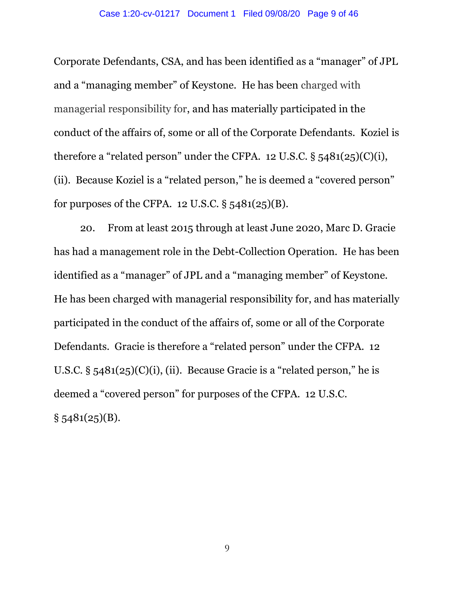Corporate Defendants, CSA, and has been identified as a "manager" of JPL and a "managing member" of Keystone. He has been charged with managerial responsibility for, and has materially participated in the conduct of the affairs of, some or all of the Corporate Defendants. Koziel is therefore a "related person" under the CFPA. 12 U.S.C.  $\S$  5481(25)(C)(i), (ii). Because Koziel is a "related person," he is deemed a "covered person" for purposes of the CFPA. 12 U.S.C.  $\S$  5481(25)(B).

20. From at least 2015 through at least June 2020, Marc D. Gracie has had a management role in the Debt-Collection Operation. He has been identified as a "manager" of JPL and a "managing member" of Keystone. He has been charged with managerial responsibility for, and has materially participated in the conduct of the affairs of, some or all of the Corporate Defendants. Gracie is therefore a "related person" under the CFPA. 12 U.S.C.  $\S$  5481(25)(C)(i), (ii). Because Gracie is a "related person," he is deemed a "covered person" for purposes of the CFPA. 12 U.S.C.  $§ 5481(25)(B).$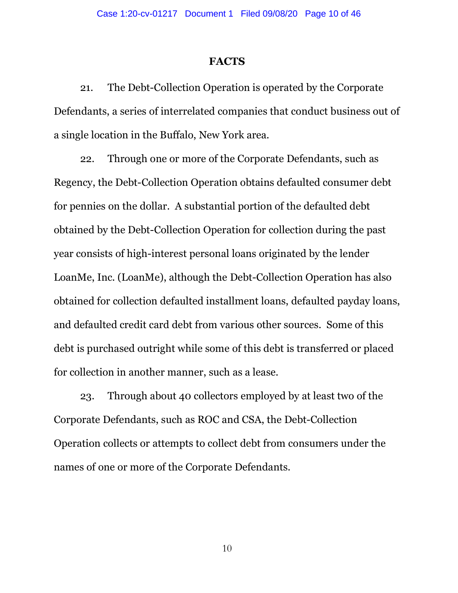#### **FACTS**

21. The Debt-Collection Operation is operated by the Corporate Defendants, a series of interrelated companies that conduct business out of a single location in the Buffalo, New York area.

22. Through one or more of the Corporate Defendants, such as Regency, the Debt-Collection Operation obtains defaulted consumer debt for pennies on the dollar. A substantial portion of the defaulted debt obtained by the Debt-Collection Operation for collection during the past year consists of high-interest personal loans originated by the lender LoanMe, Inc. (LoanMe), although the Debt-Collection Operation has also obtained for collection defaulted installment loans, defaulted payday loans, and defaulted credit card debt from various other sources. Some of this debt is purchased outright while some of this debt is transferred or placed for collection in another manner, such as a lease.

23. Through about 40 collectors employed by at least two of the Corporate Defendants, such as ROC and CSA, the Debt-Collection Operation collects or attempts to collect debt from consumers under the names of one or more of the Corporate Defendants.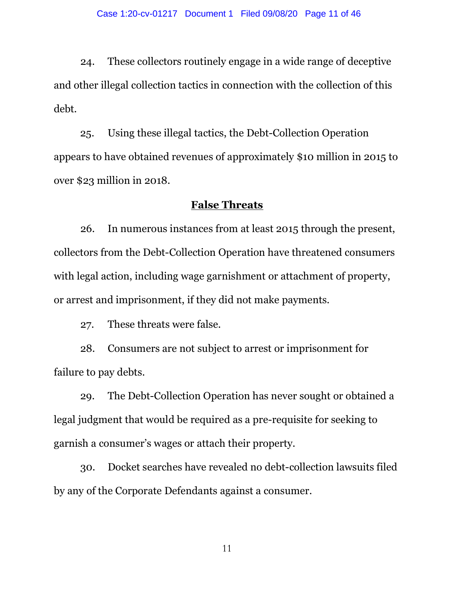24. These collectors routinely engage in a wide range of deceptive and other illegal collection tactics in connection with the collection of this debt.

25. Using these illegal tactics, the Debt-Collection Operation appears to have obtained revenues of approximately \$10 million in 2015 to over \$23 million in 2018.

### **False Threats**

26. In numerous instances from at least 2015 through the present, collectors from the Debt-Collection Operation have threatened consumers with legal action, including wage garnishment or attachment of property, or arrest and imprisonment, if they did not make payments.

27. These threats were false.

28. Consumers are not subject to arrest or imprisonment for failure to pay debts.

29. The Debt-Collection Operation has never sought or obtained a legal judgment that would be required as a pre-requisite for seeking to garnish a consumer's wages or attach their property.

30. Docket searches have revealed no debt-collection lawsuits filed by any of the Corporate Defendants against a consumer.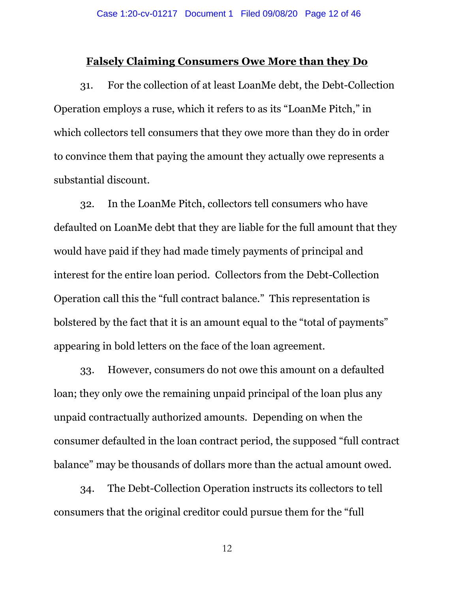#### **Falsely Claiming Consumers Owe More than they Do**

31. For the collection of at least LoanMe debt, the Debt-Collection Operation employs a ruse, which it refers to as its "LoanMe Pitch," in which collectors tell consumers that they owe more than they do in order to convince them that paying the amount they actually owe represents a substantial discount.

32. In the LoanMe Pitch, collectors tell consumers who have defaulted on LoanMe debt that they are liable for the full amount that they would have paid if they had made timely payments of principal and interest for the entire loan period. Collectors from the Debt-Collection Operation call this the "full contract balance." This representation is bolstered by the fact that it is an amount equal to the "total of payments" appearing in bold letters on the face of the loan agreement.

33. However, consumers do not owe this amount on a defaulted loan; they only owe the remaining unpaid principal of the loan plus any unpaid contractually authorized amounts. Depending on when the consumer defaulted in the loan contract period, the supposed "full contract balance" may be thousands of dollars more than the actual amount owed.

34. The Debt-Collection Operation instructs its collectors to tell consumers that the original creditor could pursue them for the "full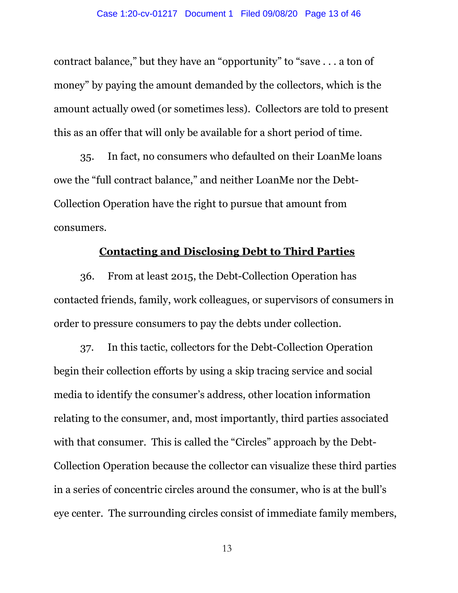contract balance," but they have an "opportunity" to "save . . . a ton of money" by paying the amount demanded by the collectors, which is the amount actually owed (or sometimes less). Collectors are told to present this as an offer that will only be available for a short period of time.

35. In fact, no consumers who defaulted on their LoanMe loans owe the "full contract balance," and neither LoanMe nor the Debt-Collection Operation have the right to pursue that amount from consumers.

## **Contacting and Disclosing Debt to Third Parties**

36. From at least 2015, the Debt-Collection Operation has contacted friends, family, work colleagues, or supervisors of consumers in order to pressure consumers to pay the debts under collection.

37. In this tactic, collectors for the Debt-Collection Operation begin their collection efforts by using a skip tracing service and social media to identify the consumer's address, other location information relating to the consumer, and, most importantly, third parties associated with that consumer. This is called the "Circles" approach by the Debt-Collection Operation because the collector can visualize these third parties in a series of concentric circles around the consumer, who is at the bull's eye center. The surrounding circles consist of immediate family members,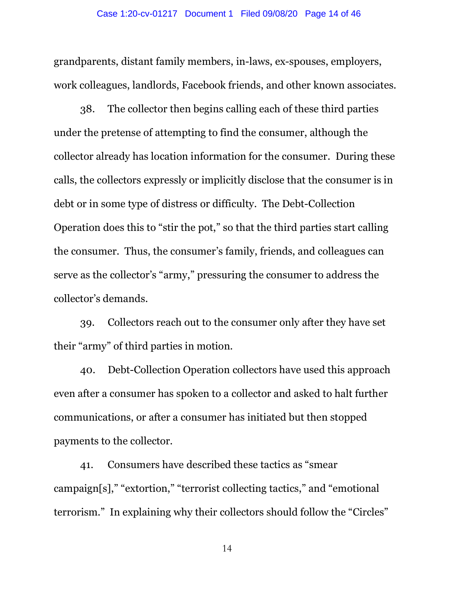grandparents, distant family members, in-laws, ex-spouses, employers, work colleagues, landlords, Facebook friends, and other known associates.

38. The collector then begins calling each of these third parties under the pretense of attempting to find the consumer, although the collector already has location information for the consumer. During these calls, the collectors expressly or implicitly disclose that the consumer is in debt or in some type of distress or difficulty. The Debt-Collection Operation does this to "stir the pot," so that the third parties start calling the consumer. Thus, the consumer's family, friends, and colleagues can serve as the collector's "army," pressuring the consumer to address the collector's demands.

39. Collectors reach out to the consumer only after they have set their "army" of third parties in motion.

40. Debt-Collection Operation collectors have used this approach even after a consumer has spoken to a collector and asked to halt further communications, or after a consumer has initiated but then stopped payments to the collector.

41. Consumers have described these tactics as "smear campaign[s]," "extortion," "terrorist collecting tactics," and "emotional terrorism." In explaining why their collectors should follow the "Circles"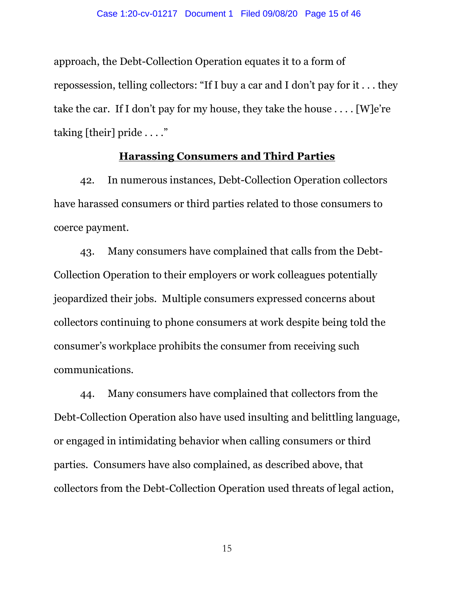approach, the Debt-Collection Operation equates it to a form of repossession, telling collectors: "If I buy a car and I don't pay for it . . . they take the car. If I don't pay for my house, they take the house . . . . [W]e're taking [their] pride . . . ."

### **Harassing Consumers and Third Parties**

42. In numerous instances, Debt-Collection Operation collectors have harassed consumers or third parties related to those consumers to coerce payment.

43. Many consumers have complained that calls from the Debt-Collection Operation to their employers or work colleagues potentially jeopardized their jobs. Multiple consumers expressed concerns about collectors continuing to phone consumers at work despite being told the consumer's workplace prohibits the consumer from receiving such communications.

44. Many consumers have complained that collectors from the Debt-Collection Operation also have used insulting and belittling language, or engaged in intimidating behavior when calling consumers or third parties. Consumers have also complained, as described above, that collectors from the Debt-Collection Operation used threats of legal action,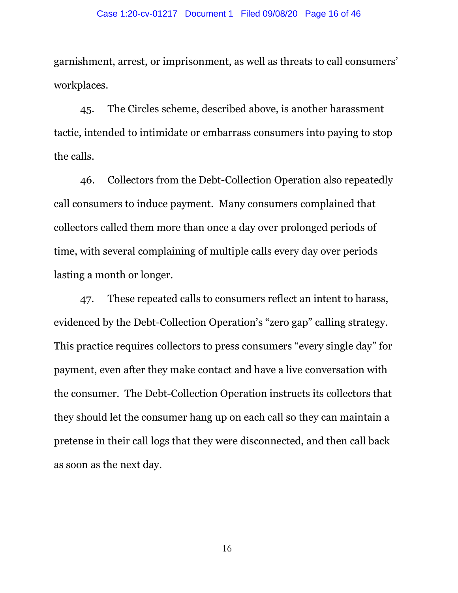garnishment, arrest, or imprisonment, as well as threats to call consumers' workplaces.

45. The Circles scheme, described above, is another harassment tactic, intended to intimidate or embarrass consumers into paying to stop the calls.

46. Collectors from the Debt-Collection Operation also repeatedly call consumers to induce payment. Many consumers complained that collectors called them more than once a day over prolonged periods of time, with several complaining of multiple calls every day over periods lasting a month or longer.

47. These repeated calls to consumers reflect an intent to harass, evidenced by the Debt-Collection Operation's "zero gap" calling strategy. This practice requires collectors to press consumers "every single day" for payment, even after they make contact and have a live conversation with the consumer. The Debt-Collection Operation instructs its collectors that they should let the consumer hang up on each call so they can maintain a pretense in their call logs that they were disconnected, and then call back as soon as the next day.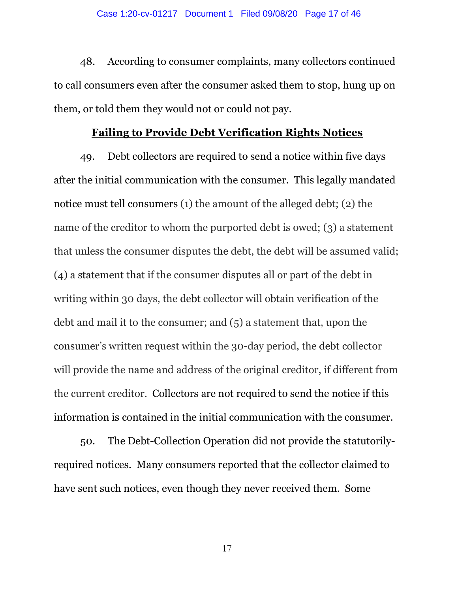48. According to consumer complaints, many collectors continued to call consumers even after the consumer asked them to stop, hung up on them, or told them they would not or could not pay.

## **Failing to Provide Debt Verification Rights Notices**

49. Debt collectors are required to send a notice within five days after the initial communication with the consumer. This legally mandated notice must tell consumers (1) the amount of the alleged debt; (2) the name of the creditor to whom the purported debt is owed; (3) a statement that unless the consumer disputes the debt, the debt will be assumed valid; (4) a statement that if the consumer disputes all or part of the debt in writing within 30 days, the debt collector will obtain verification of the debt and mail it to the consumer; and (5) a statement that, upon the consumer's written request within the 30-day period, the debt collector will provide the name and address of the original creditor, if different from the current creditor. Collectors are not required to send the notice if this information is contained in the initial communication with the consumer.

50. The Debt-Collection Operation did not provide the statutorilyrequired notices. Many consumers reported that the collector claimed to have sent such notices, even though they never received them. Some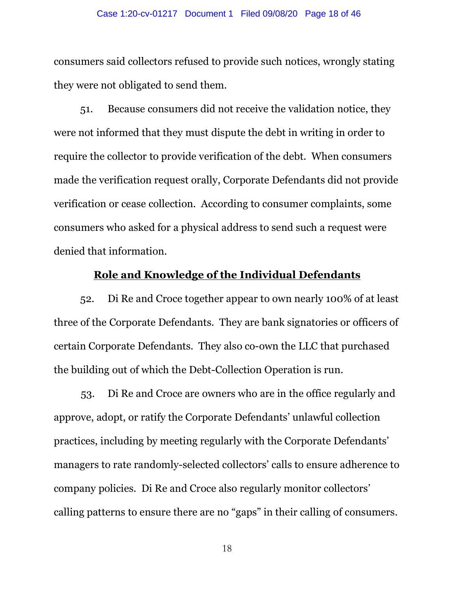consumers said collectors refused to provide such notices, wrongly stating they were not obligated to send them.

51. Because consumers did not receive the validation notice, they were not informed that they must dispute the debt in writing in order to require the collector to provide verification of the debt. When consumers made the verification request orally, Corporate Defendants did not provide verification or cease collection. According to consumer complaints, some consumers who asked for a physical address to send such a request were denied that information.

## **Role and Knowledge of the Individual Defendants**

52. Di Re and Croce together appear to own nearly 100% of at least three of the Corporate Defendants. They are bank signatories or officers of certain Corporate Defendants. They also co-own the LLC that purchased the building out of which the Debt-Collection Operation is run.

53. Di Re and Croce are owners who are in the office regularly and approve, adopt, or ratify the Corporate Defendants' unlawful collection practices, including by meeting regularly with the Corporate Defendants' managers to rate randomly-selected collectors' calls to ensure adherence to company policies. Di Re and Croce also regularly monitor collectors' calling patterns to ensure there are no "gaps" in their calling of consumers.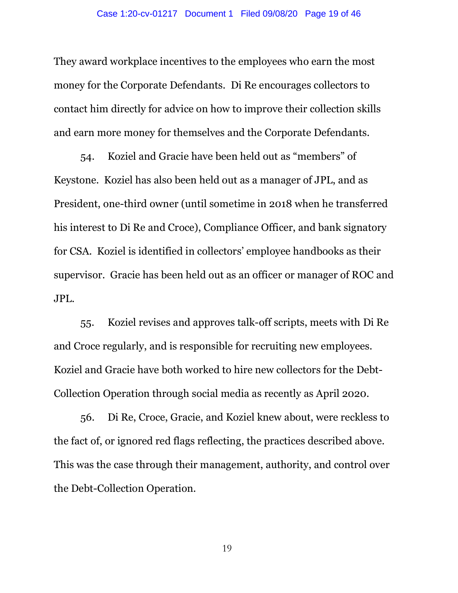They award workplace incentives to the employees who earn the most money for the Corporate Defendants. Di Re encourages collectors to contact him directly for advice on how to improve their collection skills and earn more money for themselves and the Corporate Defendants.

54. Koziel and Gracie have been held out as "members" of Keystone. Koziel has also been held out as a manager of JPL, and as President, one-third owner (until sometime in 2018 when he transferred his interest to Di Re and Croce), Compliance Officer, and bank signatory for CSA. Koziel is identified in collectors' employee handbooks as their supervisor. Gracie has been held out as an officer or manager of ROC and JPL.

55. Koziel revises and approves talk-off scripts, meets with Di Re and Croce regularly, and is responsible for recruiting new employees. Koziel and Gracie have both worked to hire new collectors for the Debt-Collection Operation through social media as recently as April 2020.

56. Di Re, Croce, Gracie, and Koziel knew about, were reckless to the fact of, or ignored red flags reflecting, the practices described above. This was the case through their management, authority, and control over the Debt-Collection Operation.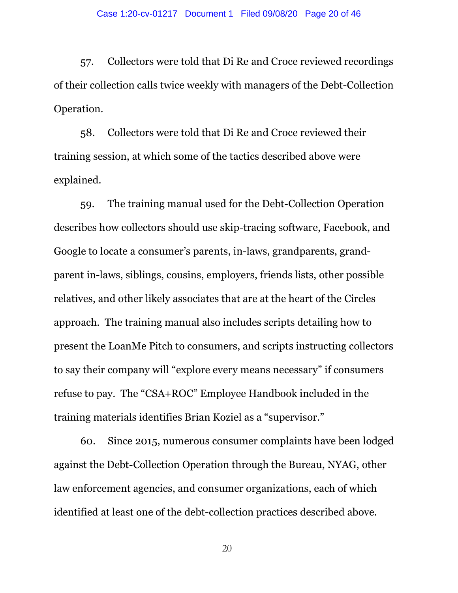57. Collectors were told that Di Re and Croce reviewed recordings of their collection calls twice weekly with managers of the Debt-Collection Operation.

58. Collectors were told that Di Re and Croce reviewed their training session, at which some of the tactics described above were explained.

59. The training manual used for the Debt-Collection Operation describes how collectors should use skip-tracing software, Facebook, and Google to locate a consumer's parents, in-laws, grandparents, grandparent in-laws, siblings, cousins, employers, friends lists, other possible relatives, and other likely associates that are at the heart of the Circles approach. The training manual also includes scripts detailing how to present the LoanMe Pitch to consumers, and scripts instructing collectors to say their company will "explore every means necessary" if consumers refuse to pay. The "CSA+ROC" Employee Handbook included in the training materials identifies Brian Koziel as a "supervisor."

60. Since 2015, numerous consumer complaints have been lodged against the Debt-Collection Operation through the Bureau, NYAG, other law enforcement agencies, and consumer organizations, each of which identified at least one of the debt-collection practices described above.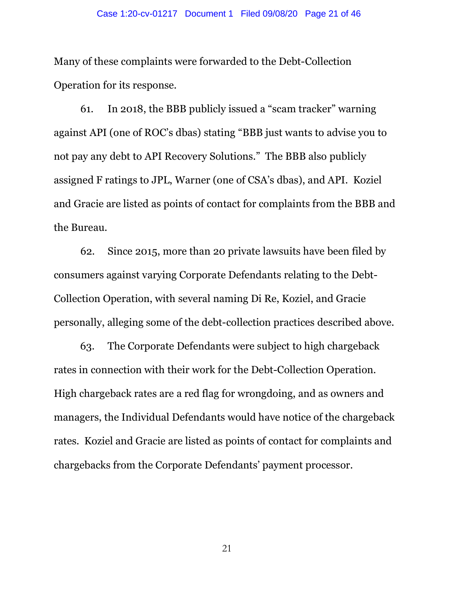Many of these complaints were forwarded to the Debt-Collection Operation for its response.

61. In 2018, the BBB publicly issued a "scam tracker" warning against API (one of ROC's dbas) stating "BBB just wants to advise you to not pay any debt to API Recovery Solutions." The BBB also publicly assigned F ratings to JPL, Warner (one of CSA's dbas), and API. Koziel and Gracie are listed as points of contact for complaints from the BBB and the Bureau.

62. Since 2015, more than 20 private lawsuits have been filed by consumers against varying Corporate Defendants relating to the Debt-Collection Operation, with several naming Di Re, Koziel, and Gracie personally, alleging some of the debt-collection practices described above.

63. The Corporate Defendants were subject to high chargeback rates in connection with their work for the Debt-Collection Operation. High chargeback rates are a red flag for wrongdoing, and as owners and managers, the Individual Defendants would have notice of the chargeback rates. Koziel and Gracie are listed as points of contact for complaints and chargebacks from the Corporate Defendants' payment processor.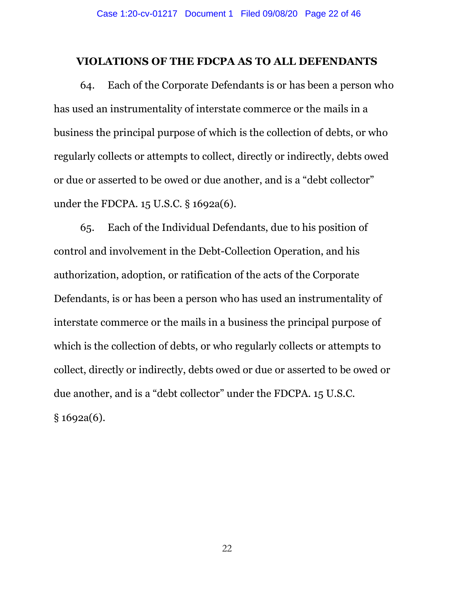#### **VIOLATIONS OF THE FDCPA AS TO ALL DEFENDANTS**

64. Each of the Corporate Defendants is or has been a person who has used an instrumentality of interstate commerce or the mails in a business the principal purpose of which is the collection of debts, or who regularly collects or attempts to collect, directly or indirectly, debts owed or due or asserted to be owed or due another, and is a "debt collector" under the FDCPA. 15 U.S.C. § 1692a(6).

65. Each of the Individual Defendants, due to his position of control and involvement in the Debt-Collection Operation, and his authorization, adoption, or ratification of the acts of the Corporate Defendants, is or has been a person who has used an instrumentality of interstate commerce or the mails in a business the principal purpose of which is the collection of debts, or who regularly collects or attempts to collect, directly or indirectly, debts owed or due or asserted to be owed or due another, and is a "debt collector" under the FDCPA. 15 U.S.C. § 1692a(6).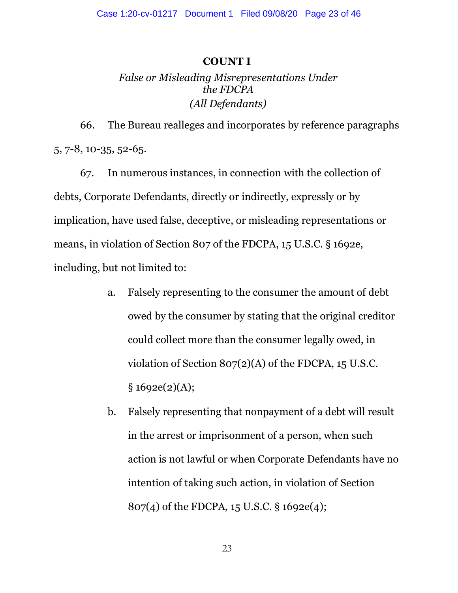### **COUNT I**

# *False or Misleading Misrepresentations Under the FDCPA (All Defendants)*

66. The Bureau realleges and incorporates by reference paragraphs 5, 7-8, 10-35, 52-65.

67. In numerous instances, in connection with the collection of debts, Corporate Defendants, directly or indirectly, expressly or by implication, have used false, deceptive, or misleading representations or means, in violation of Section 807 of the FDCPA, 15 U.S.C. § 1692e, including, but not limited to:

- a. Falsely representing to the consumer the amount of debt owed by the consumer by stating that the original creditor could collect more than the consumer legally owed, in violation of Section 807(2)(A) of the FDCPA, 15 U.S.C.  $§ 1692e(2)(A);$
- b. Falsely representing that nonpayment of a debt will result in the arrest or imprisonment of a person, when such action is not lawful or when Corporate Defendants have no intention of taking such action, in violation of Section 807(4) of the FDCPA, 15 U.S.C. § 1692e(4);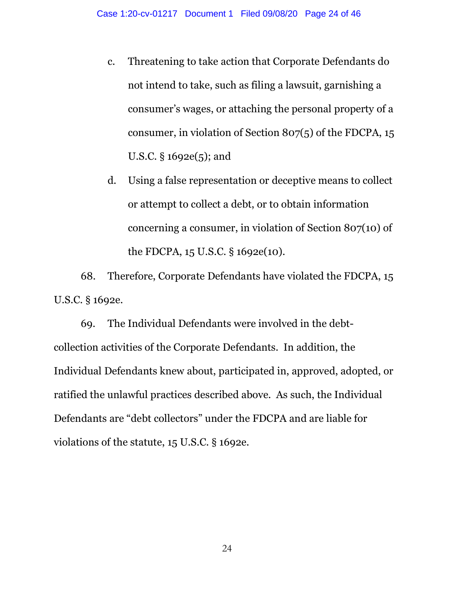- c. Threatening to take action that Corporate Defendants do not intend to take, such as filing a lawsuit, garnishing a consumer's wages, or attaching the personal property of a consumer, in violation of Section 807(5) of the FDCPA, 15 U.S.C. § 1692e(5); and
- d. Using a false representation or deceptive means to collect or attempt to collect a debt, or to obtain information concerning a consumer, in violation of Section 807(10) of the FDCPA, 15 U.S.C. § 1692e(10).

68. Therefore, Corporate Defendants have violated the FDCPA, 15 U.S.C. § 1692e.

69. The Individual Defendants were involved in the debtcollection activities of the Corporate Defendants. In addition, the Individual Defendants knew about, participated in, approved, adopted, or ratified the unlawful practices described above. As such, the Individual Defendants are "debt collectors" under the FDCPA and are liable for violations of the statute, 15 U.S.C. § 1692e.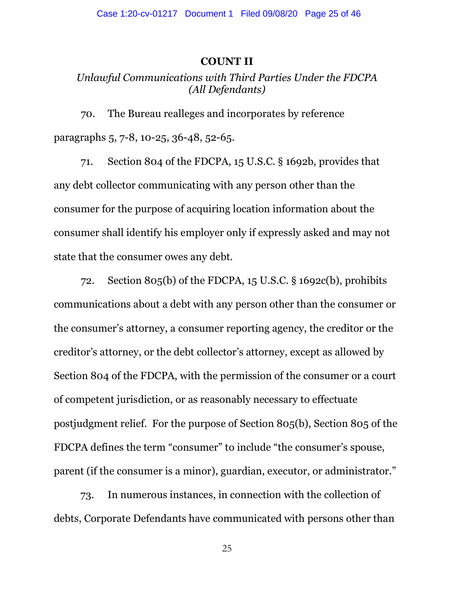#### **COUNT II**

## *Unlawful Communications with Third Parties Under the FDCPA (All Defendants)*

70. The Bureau realleges and incorporates by reference paragraphs 5, 7-8, 10-25, 36-48, 52-65.

71. Section 804 of the FDCPA, 15 U.S.C. § 1692b, provides that any debt collector communicating with any person other than the consumer for the purpose of acquiring location information about the consumer shall identify his employer only if expressly asked and may not state that the consumer owes any debt.

72. Section 805(b) of the FDCPA, 15 U.S.C. § 1692c(b), prohibits communications about a debt with any person other than the consumer or the consumer's attorney, a consumer reporting agency, the creditor or the creditor's attorney, or the debt collector's attorney, except as allowed by Section 804 of the FDCPA, with the permission of the consumer or a court of competent jurisdiction, or as reasonably necessary to effectuate postjudgment relief. For the purpose of Section 805(b), Section 805 of the FDCPA defines the term "consumer" to include "the consumer's spouse, parent (if the consumer is a minor), guardian, executor, or administrator."

73. In numerous instances, in connection with the collection of debts, Corporate Defendants have communicated with persons other than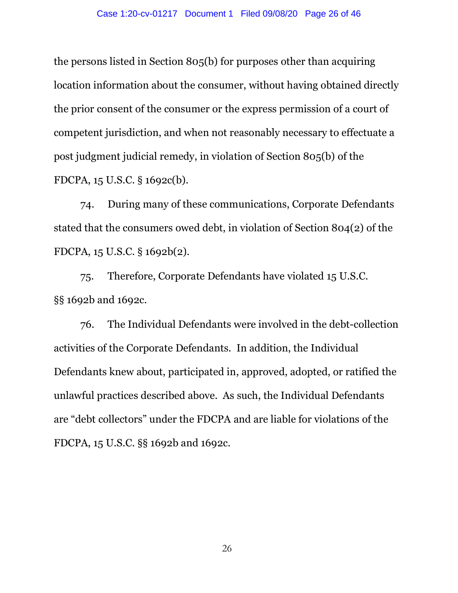the persons listed in Section 805(b) for purposes other than acquiring location information about the consumer, without having obtained directly the prior consent of the consumer or the express permission of a court of competent jurisdiction, and when not reasonably necessary to effectuate a post judgment judicial remedy, in violation of Section 805(b) of the FDCPA, 15 U.S.C. § 1692c(b).

74. During many of these communications, Corporate Defendants stated that the consumers owed debt, in violation of Section 804(2) of the FDCPA, 15 U.S.C. § 1692b(2).

75. Therefore, Corporate Defendants have violated 15 U.S.C. §§ 1692b and 1692c.

76. The Individual Defendants were involved in the debt-collection activities of the Corporate Defendants. In addition, the Individual Defendants knew about, participated in, approved, adopted, or ratified the unlawful practices described above. As such, the Individual Defendants are "debt collectors" under the FDCPA and are liable for violations of the FDCPA, 15 U.S.C. §§ 1692b and 1692c.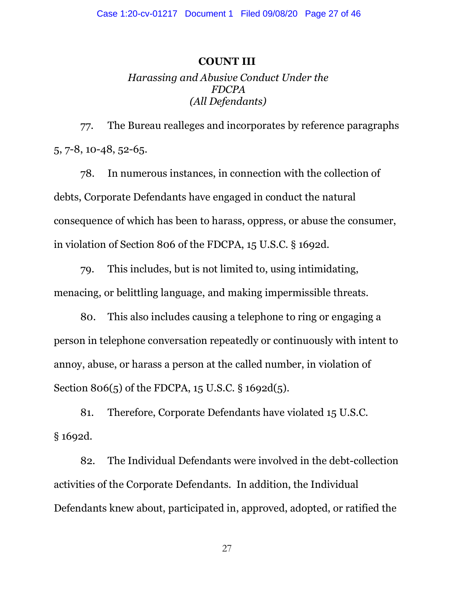#### **COUNT III**

## *Harassing and Abusive Conduct Under the FDCPA (All Defendants)*

77. The Bureau realleges and incorporates by reference paragraphs 5, 7-8, 10-48, 52-65.

78. In numerous instances, in connection with the collection of debts, Corporate Defendants have engaged in conduct the natural consequence of which has been to harass, oppress, or abuse the consumer, in violation of Section 806 of the FDCPA, 15 U.S.C. § 1692d.

79. This includes, but is not limited to, using intimidating, menacing, or belittling language, and making impermissible threats.

80. This also includes causing a telephone to ring or engaging a person in telephone conversation repeatedly or continuously with intent to annoy, abuse, or harass a person at the called number, in violation of Section 806(5) of the FDCPA, 15 U.S.C. § 1692d(5).

81. Therefore, Corporate Defendants have violated 15 U.S.C. § 1692d.

82. The Individual Defendants were involved in the debt-collection activities of the Corporate Defendants. In addition, the Individual Defendants knew about, participated in, approved, adopted, or ratified the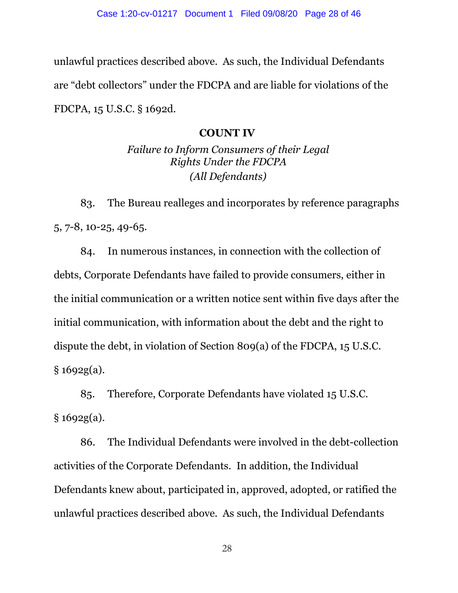unlawful practices described above. As such, the Individual Defendants are "debt collectors" under the FDCPA and are liable for violations of the FDCPA, 15 U.S.C. § 1692d.

## **COUNT IV**

*Failure to Inform Consumers of their Legal Rights Under the FDCPA (All Defendants)*

83. The Bureau realleges and incorporates by reference paragraphs 5, 7-8, 10-25, 49-65.

84. In numerous instances, in connection with the collection of debts, Corporate Defendants have failed to provide consumers, either in the initial communication or a written notice sent within five days after the initial communication, with information about the debt and the right to dispute the debt, in violation of Section 809(a) of the FDCPA, 15 U.S.C.  $§ 1692g(a).$ 

85. Therefore, Corporate Defendants have violated 15 U.S.C.  $§ 1692g(a).$ 

86. The Individual Defendants were involved in the debt-collection activities of the Corporate Defendants. In addition, the Individual Defendants knew about, participated in, approved, adopted, or ratified the unlawful practices described above. As such, the Individual Defendants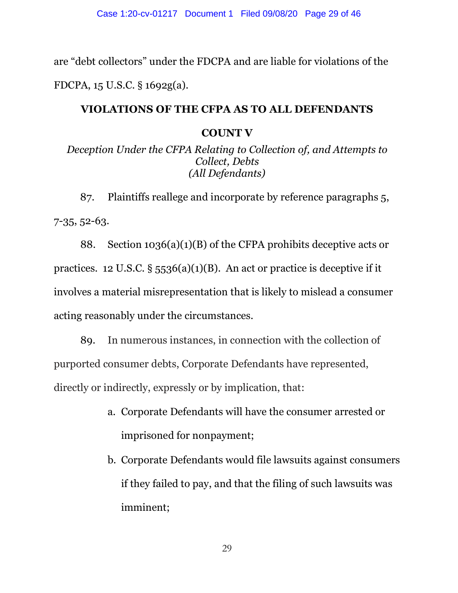are "debt collectors" under the FDCPA and are liable for violations of the FDCPA, 15 U.S.C. § 1692g(a).

## **VIOLATIONS OF THE CFPA AS TO ALL DEFENDANTS**

## **COUNT V**

*Deception Under the CFPA Relating to Collection of, and Attempts to Collect, Debts (All Defendants)*

87. Plaintiffs reallege and incorporate by reference paragraphs 5, 7-35, 52-63.

88. Section 1036(a)(1)(B) of the CFPA prohibits deceptive acts or practices. 12 U.S.C.  $\S$  5536(a)(1)(B). An act or practice is deceptive if it involves a material misrepresentation that is likely to mislead a consumer acting reasonably under the circumstances.

89. In numerous instances, in connection with the collection of purported consumer debts, Corporate Defendants have represented, directly or indirectly, expressly or by implication, that:

- a. Corporate Defendants will have the consumer arrested or imprisoned for nonpayment;
- b. Corporate Defendants would file lawsuits against consumers if they failed to pay, and that the filing of such lawsuits was imminent;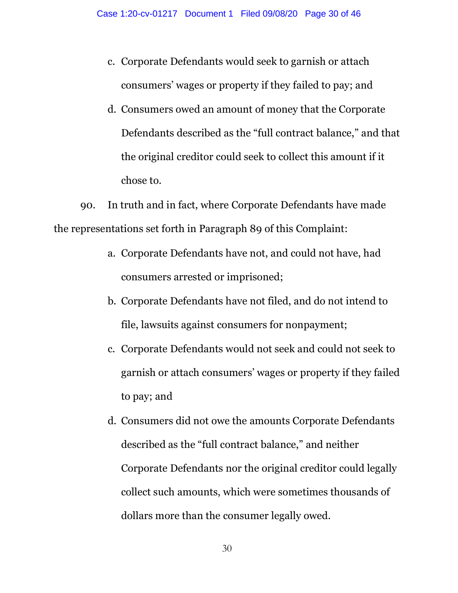- c. Corporate Defendants would seek to garnish or attach consumers' wages or property if they failed to pay; and
- d. Consumers owed an amount of money that the Corporate Defendants described as the "full contract balance," and that the original creditor could seek to collect this amount if it chose to.

90. In truth and in fact, where Corporate Defendants have made the representations set forth in Paragraph 89 of this Complaint:

- a. Corporate Defendants have not, and could not have, had consumers arrested or imprisoned;
- b. Corporate Defendants have not filed, and do not intend to file, lawsuits against consumers for nonpayment;
- c. Corporate Defendants would not seek and could not seek to garnish or attach consumers' wages or property if they failed to pay; and
- d. Consumers did not owe the amounts Corporate Defendants described as the "full contract balance," and neither Corporate Defendants nor the original creditor could legally collect such amounts, which were sometimes thousands of dollars more than the consumer legally owed.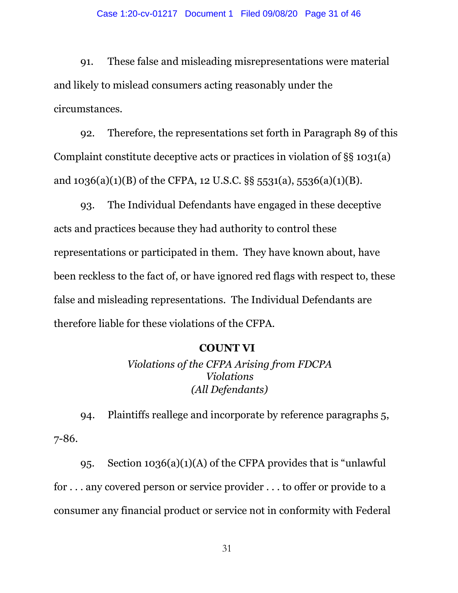#### Case 1:20-cv-01217 Document 1 Filed 09/08/20 Page 31 of 46

91. These false and misleading misrepresentations were material and likely to mislead consumers acting reasonably under the circumstances.

92. Therefore, the representations set forth in Paragraph 89 of this Complaint constitute deceptive acts or practices in violation of §§ 1031(a) and  $1036(a)(1)(B)$  of the CFPA, 12 U.S.C. §§ 5531(a), 5536(a)(1)(B).

93. The Individual Defendants have engaged in these deceptive acts and practices because they had authority to control these representations or participated in them. They have known about, have been reckless to the fact of, or have ignored red flags with respect to, these false and misleading representations. The Individual Defendants are therefore liable for these violations of the CFPA.

#### **COUNT VI**

*Violations of the CFPA Arising from FDCPA Violations (All Defendants)*

94. Plaintiffs reallege and incorporate by reference paragraphs 5, 7-86.

95. Section 1036(a)(1)(A) of the CFPA provides that is "unlawful for . . . any covered person or service provider . . . to offer or provide to a consumer any financial product or service not in conformity with Federal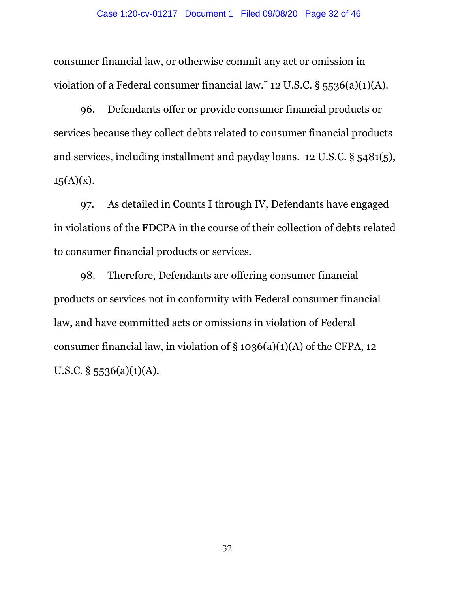consumer financial law, or otherwise commit any act or omission in violation of a Federal consumer financial law." 12 U.S.C. § 5536(a)(1)(A).

96. Defendants offer or provide consumer financial products or services because they collect debts related to consumer financial products and services, including installment and payday loans. 12 U.S.C. § 5481(5),  $15(A)(x)$ .

97. As detailed in Counts I through IV, Defendants have engaged in violations of the FDCPA in the course of their collection of debts related to consumer financial products or services.

98. Therefore, Defendants are offering consumer financial products or services not in conformity with Federal consumer financial law, and have committed acts or omissions in violation of Federal consumer financial law, in violation of  $\S 1036(a)(1)(A)$  of the CFPA, 12 U.S.C.  $\S$  5536(a)(1)(A).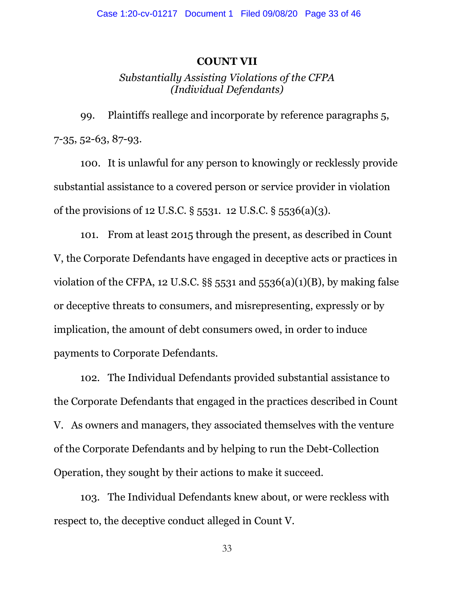#### **COUNT VII**

## *Substantially Assisting Violations of the CFPA (Individual Defendants)*

99. Plaintiffs reallege and incorporate by reference paragraphs 5, 7-35, 52-63, 87-93.

100. It is unlawful for any person to knowingly or recklessly provide substantial assistance to a covered person or service provider in violation of the provisions of 12 U.S.C. § 5531. 12 U.S.C. § 5536(a)(3).

101. From at least 2015 through the present, as described in Count V, the Corporate Defendants have engaged in deceptive acts or practices in violation of the CFPA, 12 U.S.C.  $\S$ § 5531 and 5536(a)(1)(B), by making false or deceptive threats to consumers, and misrepresenting, expressly or by implication, the amount of debt consumers owed, in order to induce payments to Corporate Defendants.

102. The Individual Defendants provided substantial assistance to the Corporate Defendants that engaged in the practices described in Count V. As owners and managers, they associated themselves with the venture of the Corporate Defendants and by helping to run the Debt-Collection Operation, they sought by their actions to make it succeed.

103. The Individual Defendants knew about, or were reckless with respect to, the deceptive conduct alleged in Count V.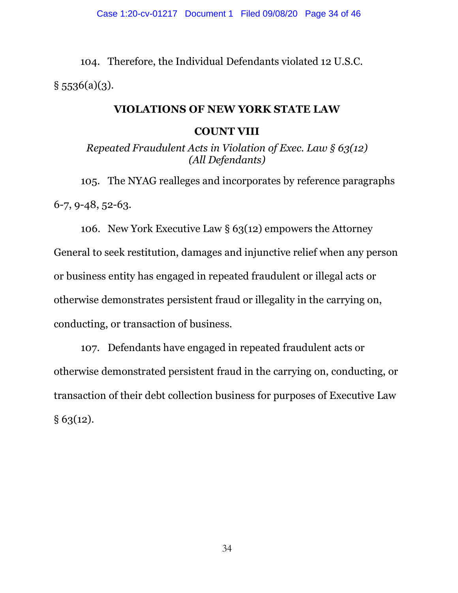104. Therefore, the Individual Defendants violated 12 U.S.C.  $§$  5536(a)(3).

#### **VIOLATIONS OF NEW YORK STATE LAW**

#### **COUNT VIII**

*Repeated Fraudulent Acts in Violation of Exec. Law § 63(12) (All Defendants)*

105. The NYAG realleges and incorporates by reference paragraphs 6-7, 9-48, 52-63.

106. New York Executive Law  $\S 63(12)$  empowers the Attorney General to seek restitution, damages and injunctive relief when any person or business entity has engaged in repeated fraudulent or illegal acts or otherwise demonstrates persistent fraud or illegality in the carrying on, conducting, or transaction of business.

107. Defendants have engaged in repeated fraudulent acts or otherwise demonstrated persistent fraud in the carrying on, conducting, or transaction of their debt collection business for purposes of Executive Law  $§ 63(12).$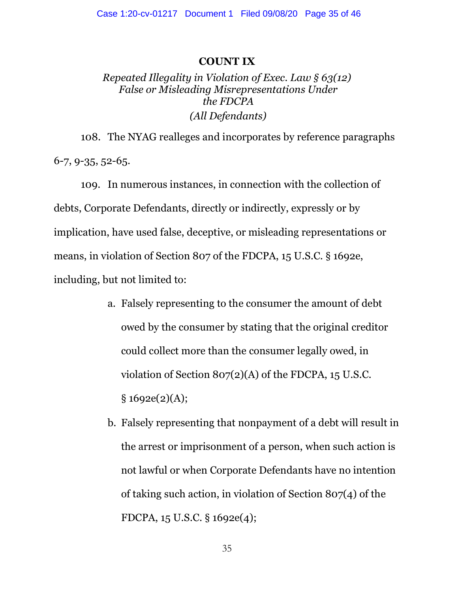#### **COUNT IX**

# *Repeated Illegality in Violation of Exec. Law § 63(12) False or Misleading Misrepresentations Under the FDCPA (All Defendants)*

108. The NYAG realleges and incorporates by reference paragraphs 6-7, 9-35, 52-65.

109. In numerous instances, in connection with the collection of debts, Corporate Defendants, directly or indirectly, expressly or by implication, have used false, deceptive, or misleading representations or means, in violation of Section 807 of the FDCPA, 15 U.S.C. § 1692e, including, but not limited to:

- a. Falsely representing to the consumer the amount of debt owed by the consumer by stating that the original creditor could collect more than the consumer legally owed, in violation of Section 807(2)(A) of the FDCPA, 15 U.S.C.  $§ 1692e(2)(A);$
- b. Falsely representing that nonpayment of a debt will result in the arrest or imprisonment of a person, when such action is not lawful or when Corporate Defendants have no intention of taking such action, in violation of Section 807(4) of the FDCPA, 15 U.S.C. § 1692e(4);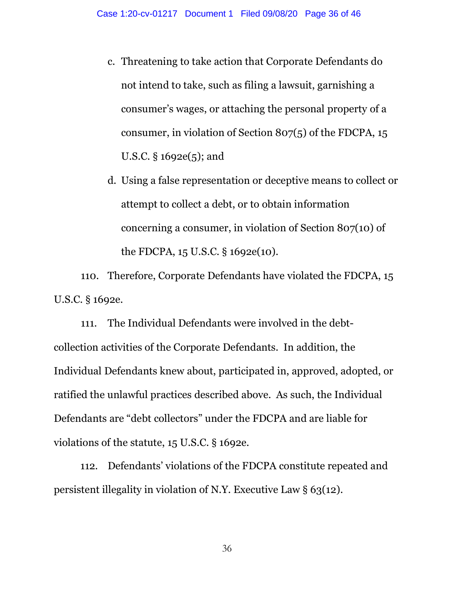- c. Threatening to take action that Corporate Defendants do not intend to take, such as filing a lawsuit, garnishing a consumer's wages, or attaching the personal property of a consumer, in violation of Section 807(5) of the FDCPA, 15 U.S.C. § 1692e(5); and
- d. Using a false representation or deceptive means to collect or attempt to collect a debt, or to obtain information concerning a consumer, in violation of Section 807(10) of the FDCPA, 15 U.S.C. § 1692e(10).

110. Therefore, Corporate Defendants have violated the FDCPA, 15 U.S.C. § 1692e.

111. The Individual Defendants were involved in the debtcollection activities of the Corporate Defendants. In addition, the Individual Defendants knew about, participated in, approved, adopted, or ratified the unlawful practices described above. As such, the Individual Defendants are "debt collectors" under the FDCPA and are liable for violations of the statute, 15 U.S.C. § 1692e.

112. Defendants' violations of the FDCPA constitute repeated and persistent illegality in violation of N.Y. Executive Law § 63(12).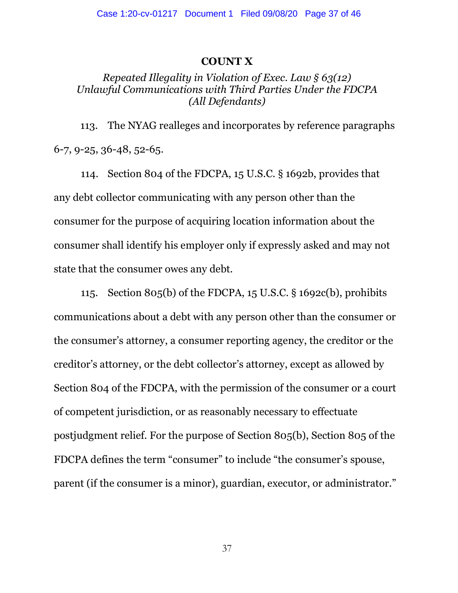#### **COUNT X**

## *Repeated Illegality in Violation of Exec. Law § 63(12) Unlawful Communications with Third Parties Under the FDCPA (All Defendants)*

113. The NYAG realleges and incorporates by reference paragraphs 6-7, 9-25, 36-48, 52-65.

114. Section 804 of the FDCPA, 15 U.S.C. § 1692b, provides that any debt collector communicating with any person other than the consumer for the purpose of acquiring location information about the consumer shall identify his employer only if expressly asked and may not state that the consumer owes any debt.

115. Section 805(b) of the FDCPA, 15 U.S.C. § 1692c(b), prohibits communications about a debt with any person other than the consumer or the consumer's attorney, a consumer reporting agency, the creditor or the creditor's attorney, or the debt collector's attorney, except as allowed by Section 804 of the FDCPA, with the permission of the consumer or a court of competent jurisdiction, or as reasonably necessary to effectuate postjudgment relief. For the purpose of Section 805(b), Section 805 of the FDCPA defines the term "consumer" to include "the consumer's spouse, parent (if the consumer is a minor), guardian, executor, or administrator."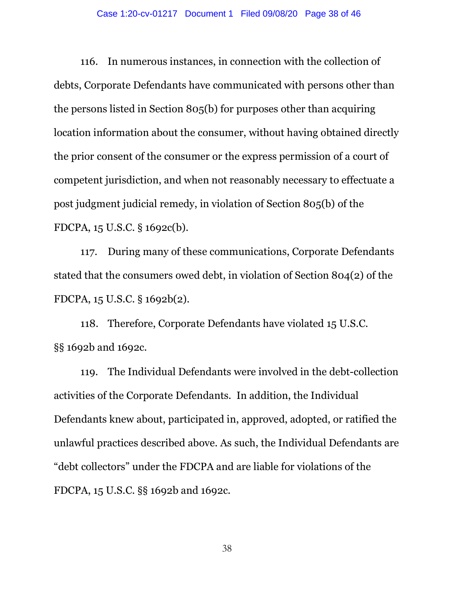116. In numerous instances, in connection with the collection of debts, Corporate Defendants have communicated with persons other than the persons listed in Section 805(b) for purposes other than acquiring location information about the consumer, without having obtained directly the prior consent of the consumer or the express permission of a court of competent jurisdiction, and when not reasonably necessary to effectuate a post judgment judicial remedy, in violation of Section 805(b) of the FDCPA, 15 U.S.C. § 1692c(b).

117. During many of these communications, Corporate Defendants stated that the consumers owed debt, in violation of Section 804(2) of the FDCPA, 15 U.S.C. § 1692b(2).

118. Therefore, Corporate Defendants have violated 15 U.S.C. §§ 1692b and 1692c.

119. The Individual Defendants were involved in the debt-collection activities of the Corporate Defendants. In addition, the Individual Defendants knew about, participated in, approved, adopted, or ratified the unlawful practices described above. As such, the Individual Defendants are "debt collectors" under the FDCPA and are liable for violations of the FDCPA, 15 U.S.C. §§ 1692b and 1692c.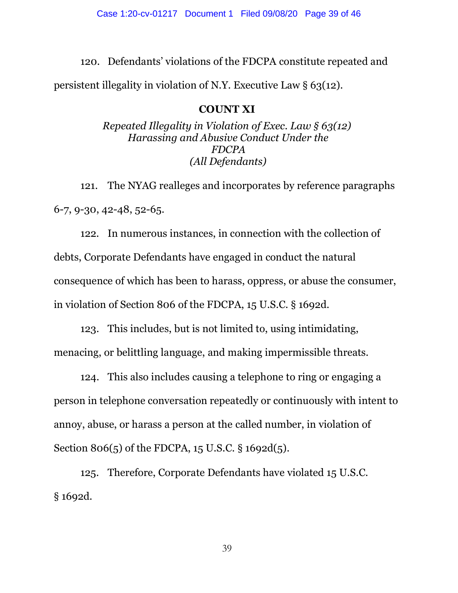120. Defendants' violations of the FDCPA constitute repeated and persistent illegality in violation of N.Y. Executive Law  $\S 63(12)$ .

## **COUNT XI**

*Repeated Illegality in Violation of Exec. Law § 63(12) Harassing and Abusive Conduct Under the FDCPA (All Defendants)*

121. The NYAG realleges and incorporates by reference paragraphs 6-7, 9-30, 42-48, 52-65.

122. In numerous instances, in connection with the collection of debts, Corporate Defendants have engaged in conduct the natural consequence of which has been to harass, oppress, or abuse the consumer, in violation of Section 806 of the FDCPA, 15 U.S.C. § 1692d.

123. This includes, but is not limited to, using intimidating, menacing, or belittling language, and making impermissible threats.

124. This also includes causing a telephone to ring or engaging a person in telephone conversation repeatedly or continuously with intent to annoy, abuse, or harass a person at the called number, in violation of Section 806(5) of the FDCPA, 15 U.S.C. § 1692d(5).

125. Therefore, Corporate Defendants have violated 15 U.S.C. § 1692d.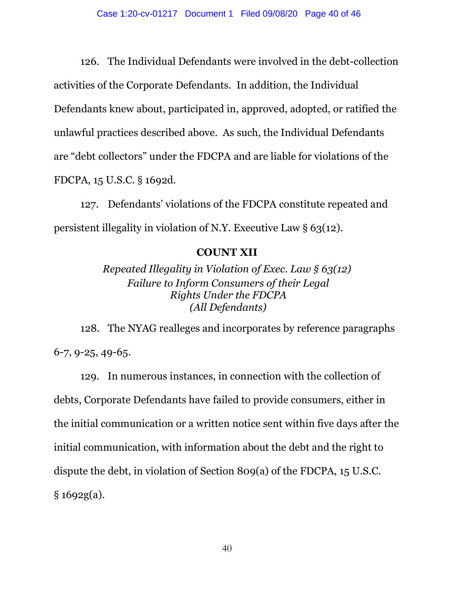126. The Individual Defendants were involved in the debt-collection activities of the Corporate Defendants. In addition, the Individual Defendants knew about, participated in, approved, adopted, or ratified the unlawful practices described above. As such, the Individual Defendants are "debt collectors" under the FDCPA and are liable for violations of the FDCPA, 15 U.S.C. § 1692d.

127. Defendants' violations of the FDCPA constitute repeated and persistent illegality in violation of N.Y. Executive Law § 63(12).

### **COUNT XII**

*Repeated Illegality in Violation of Exec. Law § 63(12) Failure to Inform Consumers of their Legal Rights Under the FDCPA (All Defendants)*

128. The NYAG realleges and incorporates by reference paragraphs 6-7, 9-25, 49-65.

129. In numerous instances, in connection with the collection of debts, Corporate Defendants have failed to provide consumers, either in the initial communication or a written notice sent within five days after the initial communication, with information about the debt and the right to dispute the debt, in violation of Section 809(a) of the FDCPA, 15 U.S.C. § 1692g(a).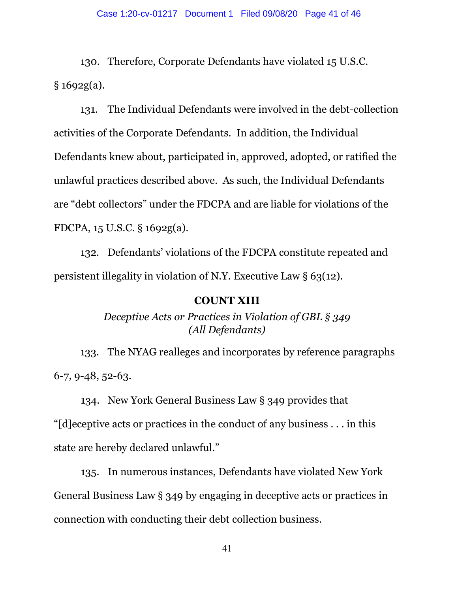130. Therefore, Corporate Defendants have violated 15 U.S.C. § 1692g(a).

131. The Individual Defendants were involved in the debt-collection activities of the Corporate Defendants. In addition, the Individual Defendants knew about, participated in, approved, adopted, or ratified the unlawful practices described above. As such, the Individual Defendants are "debt collectors" under the FDCPA and are liable for violations of the FDCPA, 15 U.S.C. § 1692g(a).

132. Defendants' violations of the FDCPA constitute repeated and persistent illegality in violation of N.Y. Executive Law § 63(12).

#### **COUNT XIII**

*Deceptive Acts or Practices in Violation of GBL § 349 (All Defendants)*

133. The NYAG realleges and incorporates by reference paragraphs 6-7, 9-48, 52-63.

134. New York General Business Law § 349 provides that

"[d]eceptive acts or practices in the conduct of any business . . . in this state are hereby declared unlawful."

135. In numerous instances, Defendants have violated New York General Business Law § 349 by engaging in deceptive acts or practices in connection with conducting their debt collection business.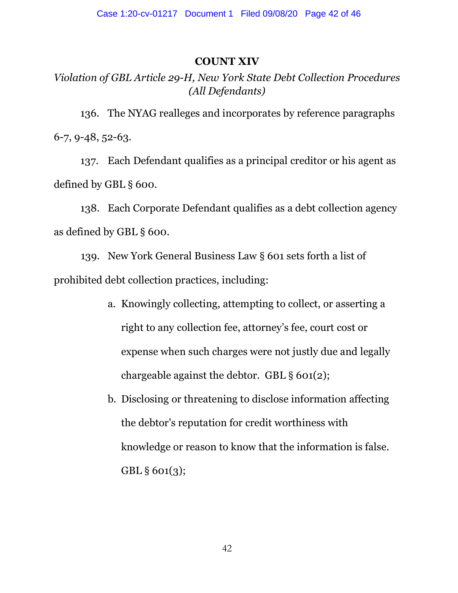### **COUNT XIV**

# *Violation of GBL Article 29-H, New York State Debt Collection Procedures (All Defendants)*

136. The NYAG realleges and incorporates by reference paragraphs 6-7, 9-48, 52-63.

137. Each Defendant qualifies as a principal creditor or his agent as defined by GBL § 600.

138. Each Corporate Defendant qualifies as a debt collection agency as defined by GBL § 600.

139. New York General Business Law § 601 sets forth a list of prohibited debt collection practices, including:

- a. Knowingly collecting, attempting to collect, or asserting a right to any collection fee, attorney's fee, court cost or expense when such charges were not justly due and legally chargeable against the debtor. GBL § 601(2);
- b. Disclosing or threatening to disclose information affecting the debtor's reputation for credit worthiness with knowledge or reason to know that the information is false. GBL § 601(3);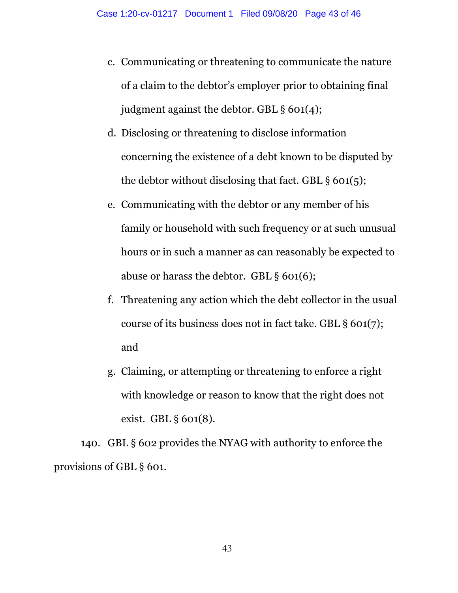- c. Communicating or threatening to communicate the nature of a claim to the debtor's employer prior to obtaining final judgment against the debtor. GBL § 601(4);
- d. Disclosing or threatening to disclose information concerning the existence of a debt known to be disputed by the debtor without disclosing that fact. GBL  $\S$  601(5);
- e. Communicating with the debtor or any member of his family or household with such frequency or at such unusual hours or in such a manner as can reasonably be expected to abuse or harass the debtor. GBL § 601(6);
- f. Threatening any action which the debt collector in the usual course of its business does not in fact take. GBL § 601(7); and
- g. Claiming, or attempting or threatening to enforce a right with knowledge or reason to know that the right does not exist. GBL § 601(8).

140. GBL § 602 provides the NYAG with authority to enforce the provisions of GBL § 601.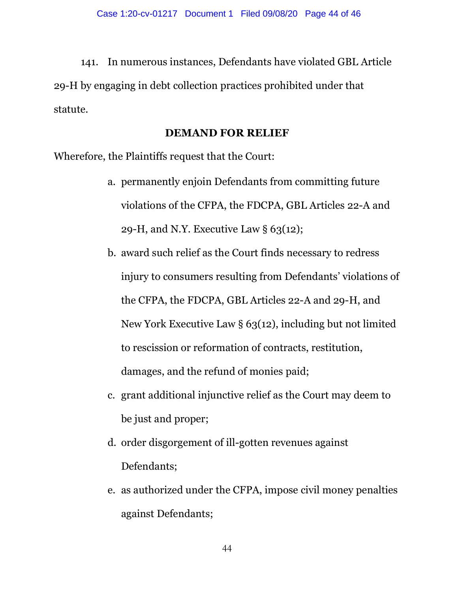141. In numerous instances, Defendants have violated GBL Article 29-H by engaging in debt collection practices prohibited under that statute.

## **DEMAND FOR RELIEF**

Wherefore, the Plaintiffs request that the Court:

- a. permanently enjoin Defendants from committing future violations of the CFPA, the FDCPA, GBL Articles 22-A and 29-H, and N.Y. Executive Law  $\S 63(12)$ ;
- b. award such relief as the Court finds necessary to redress injury to consumers resulting from Defendants' violations of the CFPA, the FDCPA, GBL Articles 22-A and 29-H, and New York Executive Law § 63(12), including but not limited to rescission or reformation of contracts, restitution, damages, and the refund of monies paid;
- c. grant additional injunctive relief as the Court may deem to be just and proper;
- d. order disgorgement of ill-gotten revenues against Defendants;
- e. as authorized under the CFPA, impose civil money penalties against Defendants;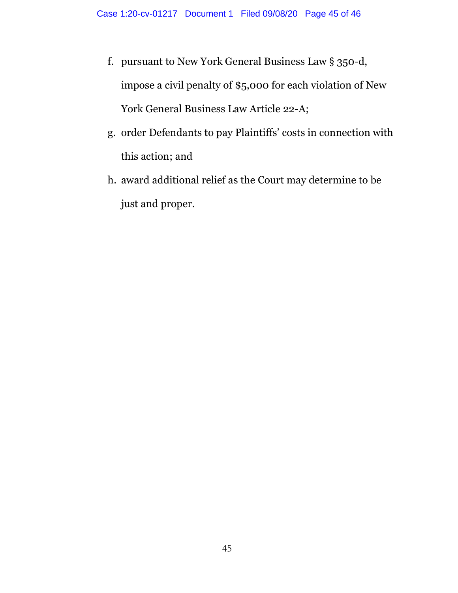- f. pursuant to New York General Business Law § 350-d, impose a civil penalty of \$5,000 for each violation of New York General Business Law Article 22-A;
- g. order Defendants to pay Plaintiffs' costs in connection with this action; and
- h. award additional relief as the Court may determine to be just and proper.